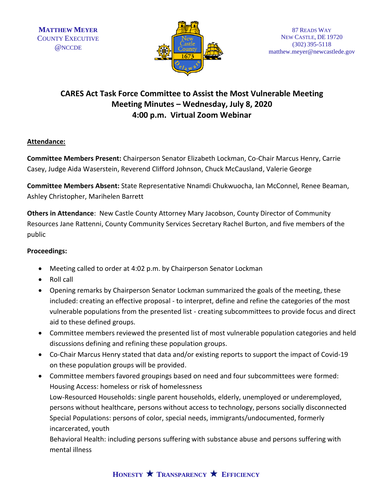

# **CARES Act Task Force Committee to Assist the Most Vulnerable Meeting Meeting Minutes – Wednesday, July 8, 2020 4:00 p.m. Virtual Zoom Webinar**

### **Attendance:**

**Committee Members Present:** Chairperson Senator Elizabeth Lockman, Co-Chair Marcus Henry, Carrie Casey, Judge Aida Waserstein, Reverend Clifford Johnson, Chuck McCausland, Valerie George

**Committee Members Absent:** State Representative Nnamdi Chukwuocha, Ian McConnel, Renee Beaman, Ashley Christopher, Marihelen Barrett

**Others in Attendance**: New Castle County Attorney Mary Jacobson, County Director of Community Resources Jane Rattenni, County Community Services Secretary Rachel Burton, and five members of the public

## **Proceedings:**

- Meeting called to order at 4:02 p.m. by Chairperson Senator Lockman
- Roll call
- Opening remarks by Chairperson Senator Lockman summarized the goals of the meeting, these included: creating an effective proposal - to interpret, define and refine the categories of the most vulnerable populations from the presented list - creating subcommittees to provide focus and direct aid to these defined groups.
- Committee members reviewed the presented list of most vulnerable population categories and held discussions defining and refining these population groups.
- Co-Chair Marcus Henry stated that data and/or existing reports to support the impact of Covid-19 on these population groups will be provided.
- Committee members favored groupings based on need and four subcommittees were formed: Housing Access: homeless or risk of homelessness Low-Resourced Households: single parent households, elderly, unemployed or underemployed, persons without healthcare, persons without access to technology, persons socially disconnected Special Populations: persons of color, special needs, immigrants/undocumented, formerly incarcerated, youth

Behavioral Health: including persons suffering with substance abuse and persons suffering with mental illness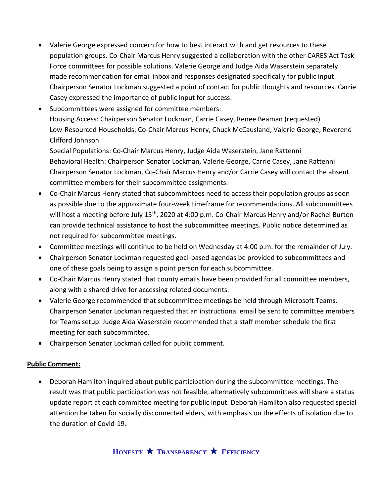- Valerie George expressed concern for how to best interact with and get resources to these population groups. Co-Chair Marcus Henry suggested a collaboration with the other CARES Act Task Force committees for possible solutions. Valerie George and Judge Aida Waserstein separately made recommendation for email inbox and responses designated specifically for public input. Chairperson Senator Lockman suggested a point of contact for public thoughts and resources. Carrie Casey expressed the importance of public input for success.
- Subcommittees were assigned for committee members: Housing Access: Chairperson Senator Lockman, Carrie Casey, Renee Beaman (requested) Low-Resourced Households: Co-Chair Marcus Henry, Chuck McCausland, Valerie George, Reverend Clifford Johnson

Special Populations: Co-Chair Marcus Henry, Judge Aida Waserstein, Jane Rattenni Behavioral Health: Chairperson Senator Lockman, Valerie George, Carrie Casey, Jane Rattenni Chairperson Senator Lockman, Co-Chair Marcus Henry and/or Carrie Casey will contact the absent committee members for their subcommittee assignments.

- Co-Chair Marcus Henry stated that subcommittees need to access their population groups as soon as possible due to the approximate four-week timeframe for recommendations. All subcommittees will host a meeting before July 15<sup>th</sup>, 2020 at 4:00 p.m. Co-Chair Marcus Henry and/or Rachel Burton can provide technical assistance to host the subcommittee meetings. Public notice determined as not required for subcommittee meetings.
- Committee meetings will continue to be held on Wednesday at 4:00 p.m. for the remainder of July.
- Chairperson Senator Lockman requested goal-based agendas be provided to subcommittees and one of these goals being to assign a point person for each subcommittee.
- Co-Chair Marcus Henry stated that county emails have been provided for all committee members, along with a shared drive for accessing related documents.
- Valerie George recommended that subcommittee meetings be held through Microsoft Teams. Chairperson Senator Lockman requested that an instructional email be sent to committee members for Teams setup. Judge Aida Waserstein recommended that a staff member schedule the first meeting for each subcommittee.
- Chairperson Senator Lockman called for public comment.

#### **Public Comment:**

• Deborah Hamilton inquired about public participation during the subcommittee meetings. The result was that public participation was not feasible, alternatively subcommittees will share a status update report at each committee meeting for public input. Deborah Hamilton also requested special attention be taken for socially disconnected elders, with emphasis on the effects of isolation due to the duration of Covid-19.